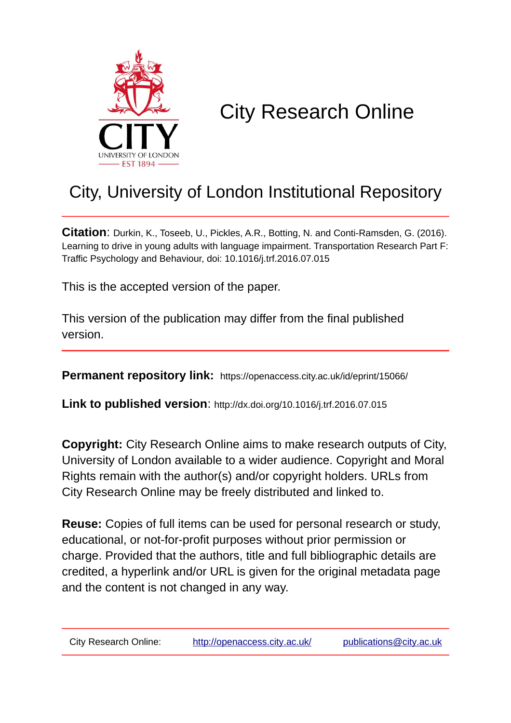

# City Research Online

# City, University of London Institutional Repository

**Citation**: Durkin, K., Toseeb, U., Pickles, A.R., Botting, N. and Conti-Ramsden, G. (2016). Learning to drive in young adults with language impairment. Transportation Research Part F: Traffic Psychology and Behaviour, doi: 10.1016/j.trf.2016.07.015

This is the accepted version of the paper.

This version of the publication may differ from the final published version.

**Permanent repository link:** https://openaccess.city.ac.uk/id/eprint/15066/

**Link to published version**: http://dx.doi.org/10.1016/j.trf.2016.07.015

**Copyright:** City Research Online aims to make research outputs of City, University of London available to a wider audience. Copyright and Moral Rights remain with the author(s) and/or copyright holders. URLs from City Research Online may be freely distributed and linked to.

**Reuse:** Copies of full items can be used for personal research or study, educational, or not-for-profit purposes without prior permission or charge. Provided that the authors, title and full bibliographic details are credited, a hyperlink and/or URL is given for the original metadata page and the content is not changed in any way.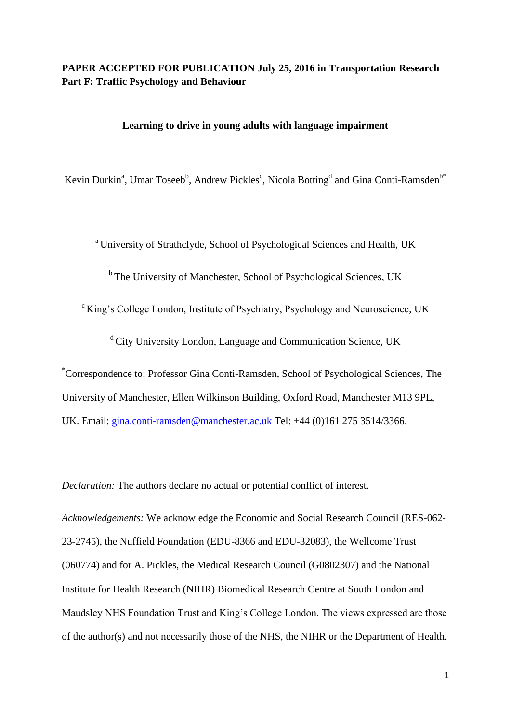### **PAPER ACCEPTED FOR PUBLICATION July 25, 2016 in Transportation Research Part F: Traffic Psychology and Behaviour**

#### **Learning to drive in young adults with language impairment**

Kevin Durkin<sup>a</sup>, Umar Toseeb<sup>b</sup>, Andrew Pickles<sup>c</sup>, Nicola Botting<sup>d</sup> and Gina Conti-Ramsden<sup>b\*</sup>

<sup>a</sup> University of Strathclyde, School of Psychological Sciences and Health, UK

<sup>b</sup> The University of Manchester, School of Psychological Sciences, UK

<sup>c</sup> King's College London, Institute of Psychiatry, Psychology and Neuroscience, UK

<sup>d</sup> City University London, Language and Communication Science, UK

\*Correspondence to: Professor Gina Conti-Ramsden, School of Psychological Sciences, The University of Manchester, Ellen Wilkinson Building, Oxford Road, Manchester M13 9PL, UK. Email: [gina.conti-ramsden@manchester.ac.uk](mailto:gina.conti-ramsden@manchester.ac.uk) Tel: +44 (0)161 275 3514/3366.

*Declaration:* The authors declare no actual or potential conflict of interest.

*Acknowledgements:* We acknowledge the Economic and Social Research Council (RES-062- 23-2745), the Nuffield Foundation (EDU-8366 and EDU-32083), the Wellcome Trust (060774) and for A. Pickles, the Medical Research Council (G0802307) and the National Institute for Health Research (NIHR) Biomedical Research Centre at South London and Maudsley NHS Foundation Trust and King's College London. The views expressed are those of the author(s) and not necessarily those of the NHS, the NIHR or the Department of Health.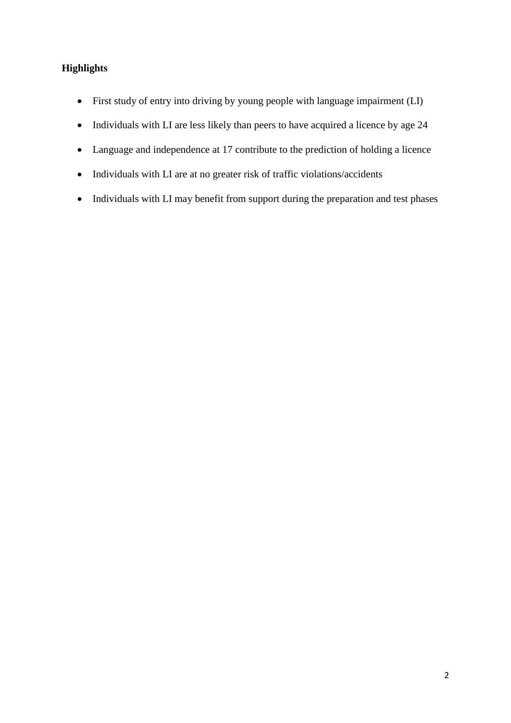## **Highlights**

- First study of entry into driving by young people with language impairment (LI)
- Individuals with LI are less likely than peers to have acquired a licence by age 24
- Language and independence at 17 contribute to the prediction of holding a licence
- Individuals with LI are at no greater risk of traffic violations/accidents
- Individuals with LI may benefit from support during the preparation and test phases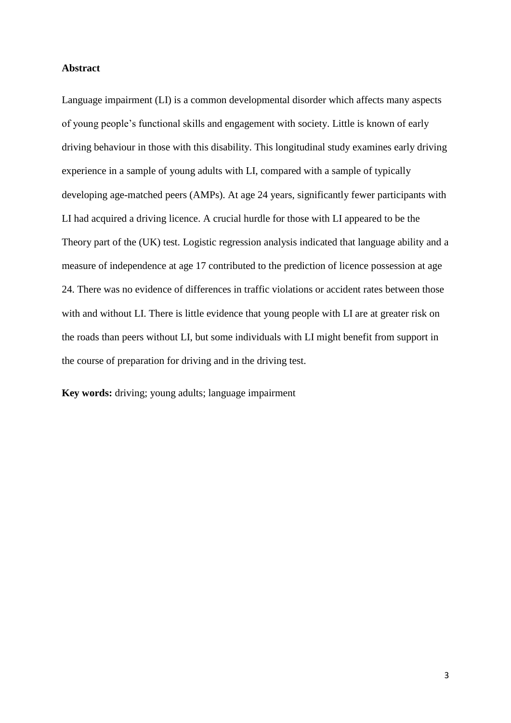#### **Abstract**

Language impairment (LI) is a common developmental disorder which affects many aspects of young people's functional skills and engagement with society. Little is known of early driving behaviour in those with this disability. This longitudinal study examines early driving experience in a sample of young adults with LI, compared with a sample of typically developing age-matched peers (AMPs). At age 24 years, significantly fewer participants with LI had acquired a driving licence. A crucial hurdle for those with LI appeared to be the Theory part of the (UK) test. Logistic regression analysis indicated that language ability and a measure of independence at age 17 contributed to the prediction of licence possession at age 24. There was no evidence of differences in traffic violations or accident rates between those with and without LI. There is little evidence that young people with LI are at greater risk on the roads than peers without LI, but some individuals with LI might benefit from support in the course of preparation for driving and in the driving test.

**Key words:** driving; young adults; language impairment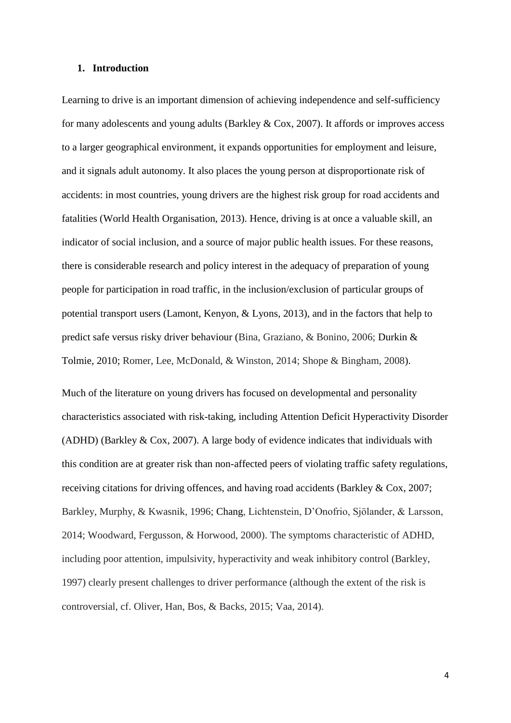#### **1. Introduction**

Learning to drive is an important dimension of achieving independence and self-sufficiency for many adolescents and young adults (Barkley & Cox, 2007). It affords or improves access to a larger geographical environment, it expands opportunities for employment and leisure, and it signals adult autonomy. It also places the young person at disproportionate risk of accidents: in most countries, young drivers are the highest risk group for road accidents and fatalities (World Health Organisation, 2013). Hence, driving is at once a valuable skill, an indicator of social inclusion, and a source of major public health issues. For these reasons, there is considerable research and policy interest in the adequacy of preparation of young people for participation in road traffic, in the inclusion/exclusion of particular groups of potential transport users (Lamont, Kenyon, & Lyons, 2013), and in the factors that help to predict safe versus risky driver behaviour (Bina, Graziano, & Bonino, 2006; Durkin & Tolmie, 2010; Romer, Lee, McDonald, & Winston, 2014; Shope & Bingham, 2008).

Much of the literature on young drivers has focused on developmental and personality characteristics associated with risk-taking, including Attention Deficit Hyperactivity Disorder (ADHD) (Barkley & Cox, 2007). A large body of evidence indicates that individuals with this condition are at greater risk than non-affected peers of violating traffic safety regulations, receiving citations for driving offences, and having road accidents (Barkley & Cox, 2007; Barkley, Murphy, & Kwasnik, 1996; Chang, Lichtenstein, D'Onofrio, Sjölander, & Larsson, 2014; Woodward, Fergusson, & Horwood, 2000). The symptoms characteristic of ADHD, including poor attention, impulsivity, hyperactivity and weak inhibitory control (Barkley, 1997) clearly present challenges to driver performance (although the extent of the risk is controversial, cf. Oliver, Han, Bos, & Backs, 2015; Vaa, 2014).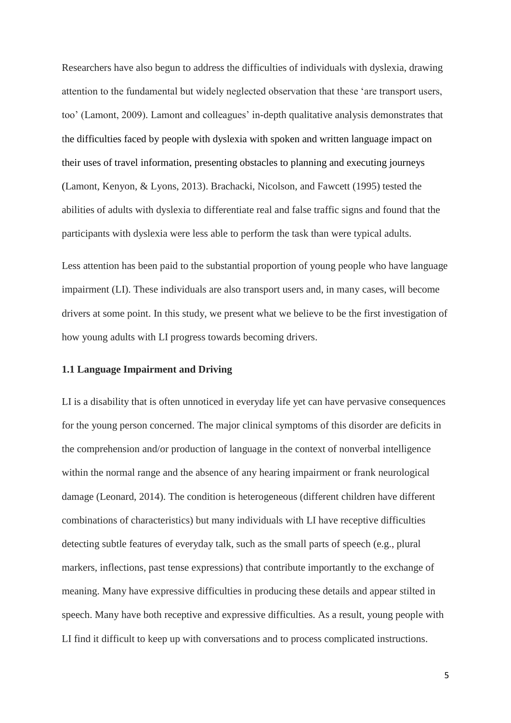Researchers have also begun to address the difficulties of individuals with dyslexia, drawing attention to the fundamental but widely neglected observation that these 'are transport users, too' (Lamont, 2009). Lamont and colleagues' in-depth qualitative analysis demonstrates that the difficulties faced by people with dyslexia with spoken and written language impact on their uses of travel information, presenting obstacles to planning and executing journeys (Lamont, Kenyon, & Lyons, 2013). Brachacki, Nicolson, and Fawcett (1995) tested the abilities of adults with dyslexia to differentiate real and false traffic signs and found that the participants with dyslexia were less able to perform the task than were typical adults.

Less attention has been paid to the substantial proportion of young people who have language impairment (LI). These individuals are also transport users and, in many cases, will become drivers at some point. In this study, we present what we believe to be the first investigation of how young adults with LI progress towards becoming drivers.

#### **1.1 Language Impairment and Driving**

LI is a disability that is often unnoticed in everyday life yet can have pervasive consequences for the young person concerned. The major clinical symptoms of this disorder are deficits in the comprehension and/or production of language in the context of nonverbal intelligence within the normal range and the absence of any hearing impairment or frank neurological damage (Leonard, 2014). The condition is heterogeneous (different children have different combinations of characteristics) but many individuals with LI have receptive difficulties detecting subtle features of everyday talk, such as the small parts of speech (e.g., plural markers, inflections, past tense expressions) that contribute importantly to the exchange of meaning. Many have expressive difficulties in producing these details and appear stilted in speech. Many have both receptive and expressive difficulties. As a result, young people with LI find it difficult to keep up with conversations and to process complicated instructions.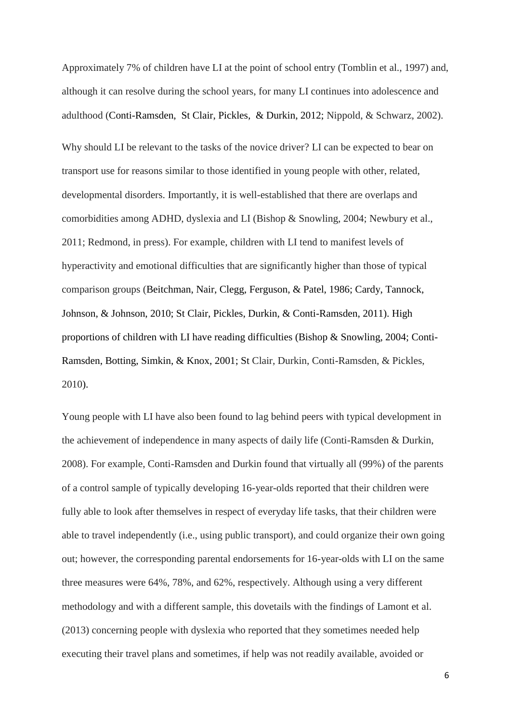Approximately 7% of children have LI at the point of school entry (Tomblin et al., 1997) and, although it can resolve during the school years, for many LI continues into adolescence and adulthood (Conti-Ramsden, St Clair, Pickles, & Durkin, 2012; Nippold, & Schwarz, 2002).

Why should LI be relevant to the tasks of the novice driver? LI can be expected to bear on transport use for reasons similar to those identified in young people with other, related, developmental disorders. Importantly, it is well-established that there are overlaps and comorbidities among ADHD, dyslexia and LI (Bishop & Snowling, 2004; Newbury et al., 2011; Redmond, in press). For example, children with LI tend to manifest levels of hyperactivity and emotional difficulties that are significantly higher than those of typical comparison groups (Beitchman, Nair, Clegg, Ferguson, & Patel, 1986; Cardy, Tannock, Johnson, & Johnson, 2010; St Clair, Pickles, Durkin, & Conti-Ramsden, 2011). High proportions of children with LI have reading difficulties (Bishop & Snowling, 2004; Conti-Ramsden, Botting, Simkin, & Knox, 2001; St Clair, Durkin, Conti-Ramsden, & Pickles, 2010).

Young people with LI have also been found to lag behind peers with typical development in the achievement of independence in many aspects of daily life (Conti-Ramsden & Durkin, 2008). For example, Conti-Ramsden and Durkin found that virtually all (99%) of the parents of a control sample of typically developing 16-year-olds reported that their children were fully able to look after themselves in respect of everyday life tasks, that their children were able to travel independently (i.e., using public transport), and could organize their own going out; however, the corresponding parental endorsements for 16-year-olds with LI on the same three measures were 64%, 78%, and 62%, respectively. Although using a very different methodology and with a different sample, this dovetails with the findings of Lamont et al. (2013) concerning people with dyslexia who reported that they sometimes needed help executing their travel plans and sometimes, if help was not readily available, avoided or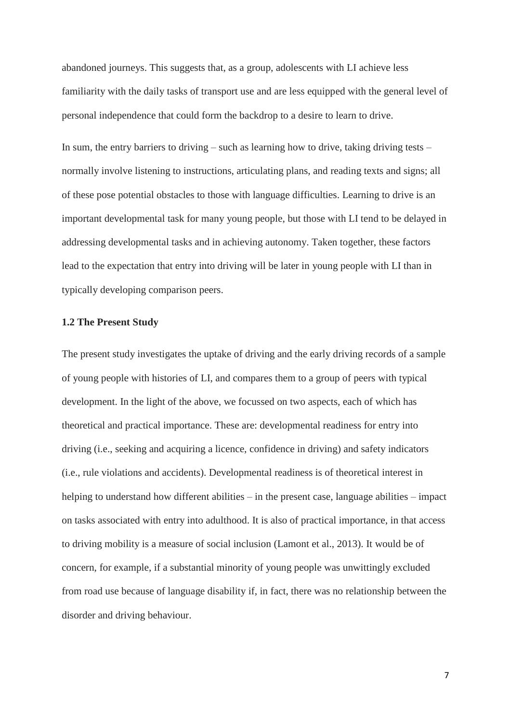abandoned journeys. This suggests that, as a group, adolescents with LI achieve less familiarity with the daily tasks of transport use and are less equipped with the general level of personal independence that could form the backdrop to a desire to learn to drive.

In sum, the entry barriers to driving – such as learning how to drive, taking driving tests – normally involve listening to instructions, articulating plans, and reading texts and signs; all of these pose potential obstacles to those with language difficulties. Learning to drive is an important developmental task for many young people, but those with LI tend to be delayed in addressing developmental tasks and in achieving autonomy. Taken together, these factors lead to the expectation that entry into driving will be later in young people with LI than in typically developing comparison peers.

#### **1.2 The Present Study**

The present study investigates the uptake of driving and the early driving records of a sample of young people with histories of LI, and compares them to a group of peers with typical development. In the light of the above, we focussed on two aspects, each of which has theoretical and practical importance. These are: developmental readiness for entry into driving (i.e., seeking and acquiring a licence, confidence in driving) and safety indicators (i.e., rule violations and accidents). Developmental readiness is of theoretical interest in helping to understand how different abilities – in the present case, language abilities – impact on tasks associated with entry into adulthood. It is also of practical importance, in that access to driving mobility is a measure of social inclusion (Lamont et al., 2013). It would be of concern, for example, if a substantial minority of young people was unwittingly excluded from road use because of language disability if, in fact, there was no relationship between the disorder and driving behaviour.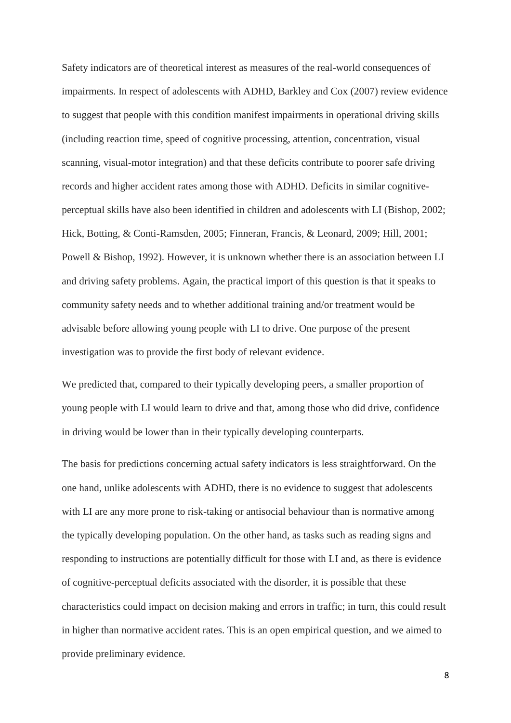Safety indicators are of theoretical interest as measures of the real-world consequences of impairments. In respect of adolescents with ADHD, Barkley and Cox (2007) review evidence to suggest that people with this condition manifest impairments in operational driving skills (including reaction time, speed of cognitive processing, attention, concentration, visual scanning, visual-motor integration) and that these deficits contribute to poorer safe driving records and higher accident rates among those with ADHD. Deficits in similar cognitiveperceptual skills have also been identified in children and adolescents with LI (Bishop, 2002; Hick, Botting, & Conti-Ramsden, 2005; Finneran, Francis, & Leonard, 2009; Hill, 2001; Powell & Bishop, 1992). However, it is unknown whether there is an association between LI and driving safety problems. Again, the practical import of this question is that it speaks to community safety needs and to whether additional training and/or treatment would be advisable before allowing young people with LI to drive. One purpose of the present investigation was to provide the first body of relevant evidence.

We predicted that, compared to their typically developing peers, a smaller proportion of young people with LI would learn to drive and that, among those who did drive, confidence in driving would be lower than in their typically developing counterparts.

The basis for predictions concerning actual safety indicators is less straightforward. On the one hand, unlike adolescents with ADHD, there is no evidence to suggest that adolescents with LI are any more prone to risk-taking or antisocial behaviour than is normative among the typically developing population. On the other hand, as tasks such as reading signs and responding to instructions are potentially difficult for those with LI and, as there is evidence of cognitive-perceptual deficits associated with the disorder, it is possible that these characteristics could impact on decision making and errors in traffic; in turn, this could result in higher than normative accident rates. This is an open empirical question, and we aimed to provide preliminary evidence.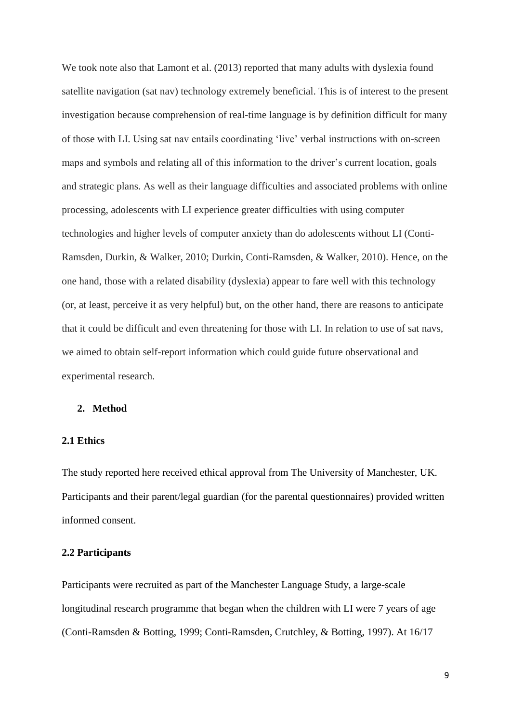We took note also that Lamont et al. (2013) reported that many adults with dyslexia found satellite navigation (sat nav) technology extremely beneficial. This is of interest to the present investigation because comprehension of real-time language is by definition difficult for many of those with LI. Using sat nav entails coordinating 'live' verbal instructions with on-screen maps and symbols and relating all of this information to the driver's current location, goals and strategic plans. As well as their language difficulties and associated problems with online processing, adolescents with LI experience greater difficulties with using computer technologies and higher levels of computer anxiety than do adolescents without LI (Conti-Ramsden, Durkin, & Walker, 2010; Durkin, Conti-Ramsden, & Walker, 2010). Hence, on the one hand, those with a related disability (dyslexia) appear to fare well with this technology (or, at least, perceive it as very helpful) but, on the other hand, there are reasons to anticipate that it could be difficult and even threatening for those with LI. In relation to use of sat navs, we aimed to obtain self-report information which could guide future observational and experimental research.

#### **2. Method**

#### **2.1 Ethics**

The study reported here received ethical approval from The University of Manchester, UK. Participants and their parent/legal guardian (for the parental questionnaires) provided written informed consent.

#### **2.2 Participants**

Participants were recruited as part of the Manchester Language Study, a large-scale longitudinal research programme that began when the children with LI were 7 years of age (Conti-Ramsden & Botting, 1999; Conti-Ramsden, Crutchley, & Botting, 1997). At 16/17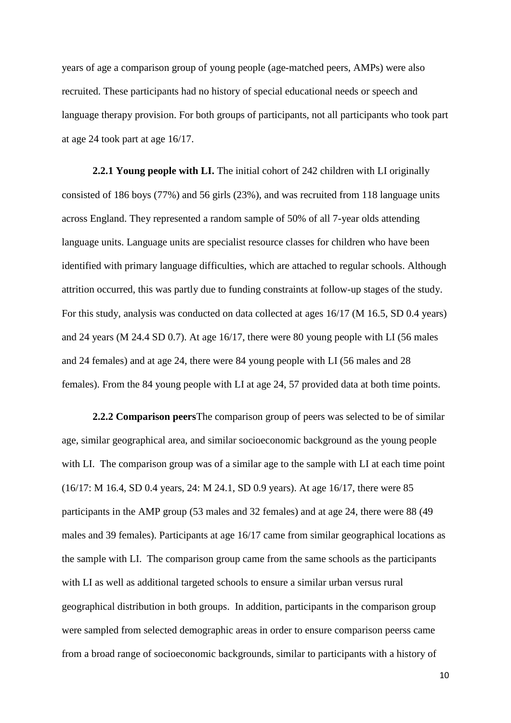years of age a comparison group of young people (age-matched peers, AMPs) were also recruited. These participants had no history of special educational needs or speech and language therapy provision. For both groups of participants, not all participants who took part at age 24 took part at age 16/17.

**2.2.1 Young people with LI.** The initial cohort of 242 children with LI originally consisted of 186 boys (77%) and 56 girls (23%), and was recruited from 118 language units across England. They represented a random sample of 50% of all 7-year olds attending language units. Language units are specialist resource classes for children who have been identified with primary language difficulties, which are attached to regular schools. Although attrition occurred, this was partly due to funding constraints at follow-up stages of the study. For this study, analysis was conducted on data collected at ages 16/17 (M 16.5, SD 0.4 years) and 24 years (M 24.4 SD 0.7). At age 16/17, there were 80 young people with LI (56 males and 24 females) and at age 24, there were 84 young people with LI (56 males and 28 females). From the 84 young people with LI at age 24, 57 provided data at both time points.

**2.2.2 Comparison peers**The comparison group of peers was selected to be of similar age, similar geographical area, and similar socioeconomic background as the young people with LI. The comparison group was of a similar age to the sample with LI at each time point (16/17: M 16.4, SD 0.4 years, 24: M 24.1, SD 0.9 years). At age 16/17, there were 85 participants in the AMP group (53 males and 32 females) and at age 24, there were 88 (49 males and 39 females). Participants at age 16/17 came from similar geographical locations as the sample with LI. The comparison group came from the same schools as the participants with LI as well as additional targeted schools to ensure a similar urban versus rural geographical distribution in both groups. In addition, participants in the comparison group were sampled from selected demographic areas in order to ensure comparison peerss came from a broad range of socioeconomic backgrounds, similar to participants with a history of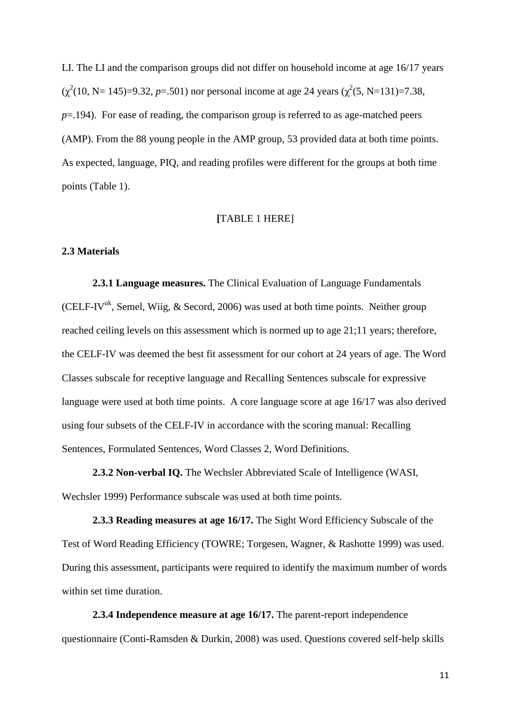LI. The LI and the comparison groups did not differ on household income at age 16/17 years  $(\chi^2(10, N=145)=9.32, p=.501)$  nor personal income at age 24 years  $(\chi^2(5, N=131)=7.38,$ *p*=.194). For ease of reading, the comparison group is referred to as age-matched peers (AMP). From the 88 young people in the AMP group, 53 provided data at both time points. As expected, language, PIQ, and reading profiles were different for the groups at both time points (Table 1).

#### **[**TABLE 1 HERE]

#### **2.3 Materials**

**2.3.1 Language measures.** The Clinical Evaluation of Language Fundamentals (CELF-IV<sup>uk</sup>, Semel, Wiig, & Secord, 2006) was used at both time points. Neither group reached ceiling levels on this assessment which is normed up to age 21;11 years; therefore, the CELF-IV was deemed the best fit assessment for our cohort at 24 years of age. The Word Classes subscale for receptive language and Recalling Sentences subscale for expressive language were used at both time points. A core language score at age 16/17 was also derived using four subsets of the CELF-IV in accordance with the scoring manual: Recalling Sentences, Formulated Sentences, Word Classes 2, Word Definitions.

**2.3.2 Non-verbal IQ.** The Wechsler Abbreviated Scale of Intelligence (WASI, Wechsler 1999) Performance subscale was used at both time points.

**2.3.3 Reading measures at age 16/17.** The Sight Word Efficiency Subscale of the Test of Word Reading Efficiency (TOWRE; Torgesen, Wagner, & Rashotte 1999) was used. During this assessment, participants were required to identify the maximum number of words within set time duration.

**2.3.4 Independence measure at age 16/17.** The parent-report independence questionnaire (Conti-Ramsden & Durkin, 2008) was used. Questions covered self-help skills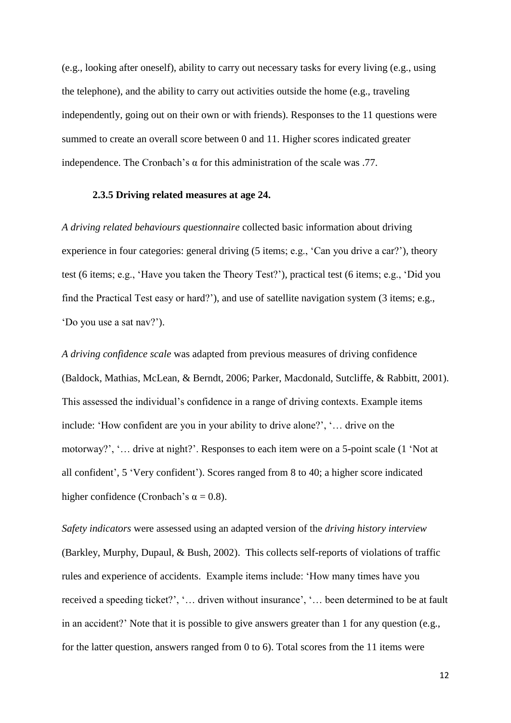(e.g., looking after oneself), ability to carry out necessary tasks for every living (e.g., using the telephone), and the ability to carry out activities outside the home (e.g., traveling independently, going out on their own or with friends). Responses to the 11 questions were summed to create an overall score between 0 and 11. Higher scores indicated greater independence. The Cronbach's  $\alpha$  for this administration of the scale was .77.

#### **2.3.5 Driving related measures at age 24.**

*A driving related behaviours questionnaire* collected basic information about driving experience in four categories: general driving (5 items; e.g., 'Can you drive a car?'), theory test (6 items; e.g., 'Have you taken the Theory Test?'), practical test (6 items; e.g., 'Did you find the Practical Test easy or hard?'), and use of satellite navigation system (3 items; e.g., 'Do you use a sat nav?').

*A driving confidence scale* was adapted from previous measures of driving confidence (Baldock, Mathias, McLean, & Berndt, 2006; Parker, Macdonald, Sutcliffe, & Rabbitt, 2001). This assessed the individual's confidence in a range of driving contexts. Example items include: 'How confident are you in your ability to drive alone?', '… drive on the motorway?', '… drive at night?'. Responses to each item were on a 5-point scale (1 'Not at all confident', 5 'Very confident'). Scores ranged from 8 to 40; a higher score indicated higher confidence (Cronbach's  $\alpha = 0.8$ ).

*Safety indicators* were assessed using an adapted version of the *driving history interview* (Barkley, Murphy, Dupaul, & Bush, 2002). This collects self-reports of violations of traffic rules and experience of accidents. Example items include: 'How many times have you received a speeding ticket?', '… driven without insurance', '… been determined to be at fault in an accident?' Note that it is possible to give answers greater than 1 for any question (e.g., for the latter question, answers ranged from 0 to 6). Total scores from the 11 items were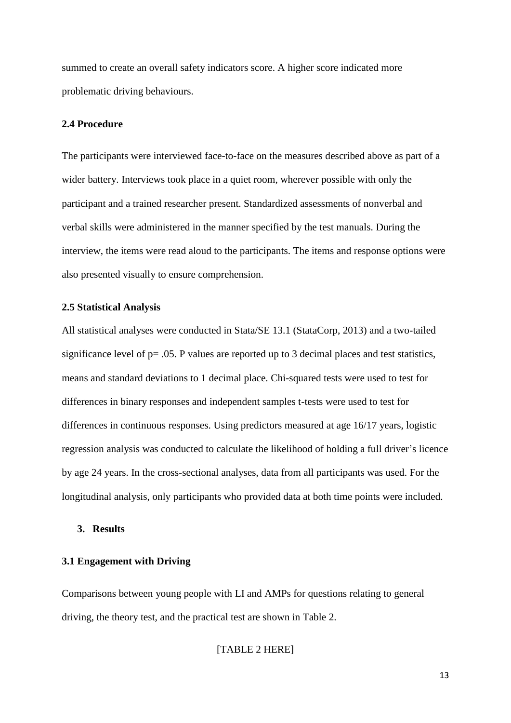summed to create an overall safety indicators score. A higher score indicated more problematic driving behaviours.

#### **2.4 Procedure**

The participants were interviewed face-to-face on the measures described above as part of a wider battery. Interviews took place in a quiet room, wherever possible with only the participant and a trained researcher present. Standardized assessments of nonverbal and verbal skills were administered in the manner specified by the test manuals. During the interview, the items were read aloud to the participants. The items and response options were also presented visually to ensure comprehension.

#### **2.5 Statistical Analysis**

All statistical analyses were conducted in Stata/SE 13.1 (StataCorp, 2013) and a two-tailed significance level of p= .05. P values are reported up to 3 decimal places and test statistics, means and standard deviations to 1 decimal place. Chi-squared tests were used to test for differences in binary responses and independent samples t-tests were used to test for differences in continuous responses. Using predictors measured at age 16/17 years, logistic regression analysis was conducted to calculate the likelihood of holding a full driver's licence by age 24 years. In the cross-sectional analyses, data from all participants was used. For the longitudinal analysis, only participants who provided data at both time points were included.

#### **3. Results**

#### **3.1 Engagement with Driving**

Comparisons between young people with LI and AMPs for questions relating to general driving, the theory test, and the practical test are shown in Table 2.

[TABLE 2 HERE]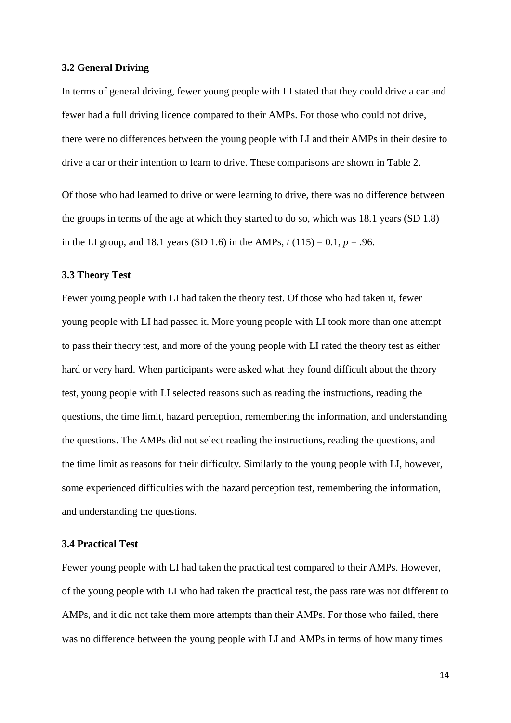#### **3.2 General Driving**

In terms of general driving, fewer young people with LI stated that they could drive a car and fewer had a full driving licence compared to their AMPs. For those who could not drive, there were no differences between the young people with LI and their AMPs in their desire to drive a car or their intention to learn to drive. These comparisons are shown in Table 2.

Of those who had learned to drive or were learning to drive, there was no difference between the groups in terms of the age at which they started to do so, which was 18.1 years (SD 1.8) in the LI group, and 18.1 years (SD 1.6) in the AMPs,  $t(115) = 0.1$ ,  $p = .96$ .

#### **3.3 Theory Test**

Fewer young people with LI had taken the theory test. Of those who had taken it, fewer young people with LI had passed it. More young people with LI took more than one attempt to pass their theory test, and more of the young people with LI rated the theory test as either hard or very hard. When participants were asked what they found difficult about the theory test, young people with LI selected reasons such as reading the instructions, reading the questions, the time limit, hazard perception, remembering the information, and understanding the questions. The AMPs did not select reading the instructions, reading the questions, and the time limit as reasons for their difficulty. Similarly to the young people with LI, however, some experienced difficulties with the hazard perception test, remembering the information, and understanding the questions.

#### **3.4 Practical Test**

Fewer young people with LI had taken the practical test compared to their AMPs. However, of the young people with LI who had taken the practical test, the pass rate was not different to AMPs, and it did not take them more attempts than their AMPs. For those who failed, there was no difference between the young people with LI and AMPs in terms of how many times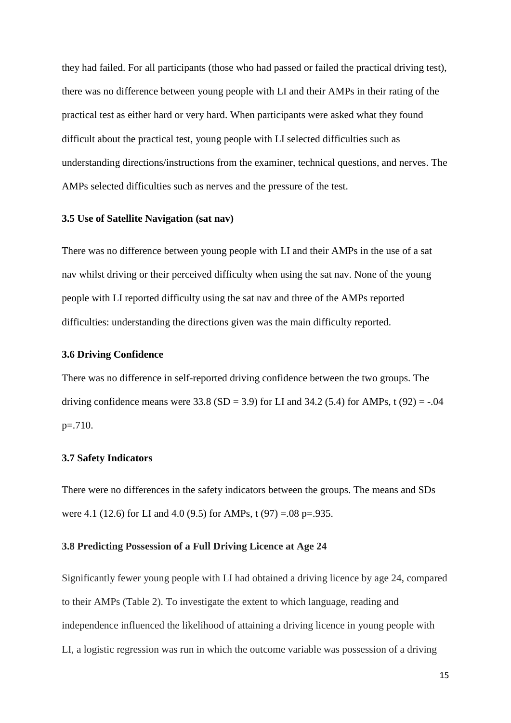they had failed. For all participants (those who had passed or failed the practical driving test), there was no difference between young people with LI and their AMPs in their rating of the practical test as either hard or very hard. When participants were asked what they found difficult about the practical test, young people with LI selected difficulties such as understanding directions/instructions from the examiner, technical questions, and nerves. The AMPs selected difficulties such as nerves and the pressure of the test.

#### **3.5 Use of Satellite Navigation (sat nav)**

There was no difference between young people with LI and their AMPs in the use of a sat nav whilst driving or their perceived difficulty when using the sat nav. None of the young people with LI reported difficulty using the sat nav and three of the AMPs reported difficulties: understanding the directions given was the main difficulty reported.

#### **3.6 Driving Confidence**

There was no difference in self-reported driving confidence between the two groups. The driving confidence means were  $33.8$  (SD = 3.9) for LI and  $34.2$  (5.4) for AMPs, t (92) = -.04 p=.710.

#### **3.7 Safety Indicators**

There were no differences in the safety indicators between the groups. The means and SDs were 4.1 (12.6) for LI and 4.0 (9.5) for AMPs, t (97) = 0.08 p= 0.935.

#### **3.8 Predicting Possession of a Full Driving Licence at Age 24**

Significantly fewer young people with LI had obtained a driving licence by age 24, compared to their AMPs (Table 2). To investigate the extent to which language, reading and independence influenced the likelihood of attaining a driving licence in young people with LI, a logistic regression was run in which the outcome variable was possession of a driving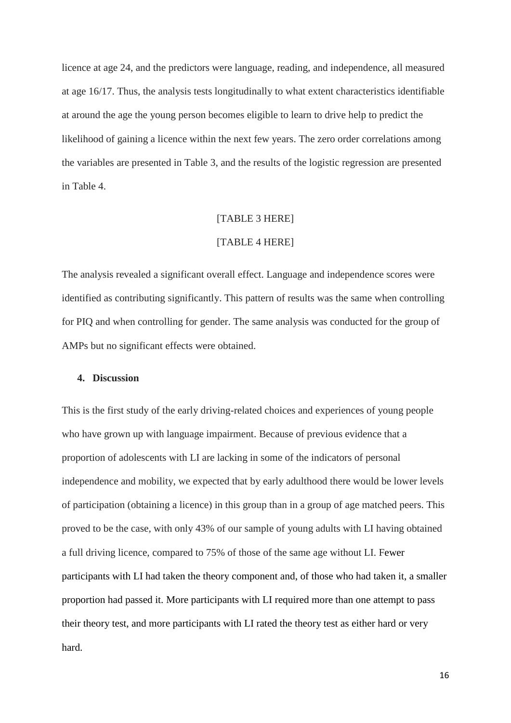licence at age 24, and the predictors were language, reading, and independence, all measured at age 16/17. Thus, the analysis tests longitudinally to what extent characteristics identifiable at around the age the young person becomes eligible to learn to drive help to predict the likelihood of gaining a licence within the next few years. The zero order correlations among the variables are presented in Table 3, and the results of the logistic regression are presented in Table 4.

#### [TABLE 3 HERE]

#### [TABLE 4 HERE]

The analysis revealed a significant overall effect. Language and independence scores were identified as contributing significantly. This pattern of results was the same when controlling for PIQ and when controlling for gender. The same analysis was conducted for the group of AMPs but no significant effects were obtained.

#### **4. Discussion**

This is the first study of the early driving-related choices and experiences of young people who have grown up with language impairment. Because of previous evidence that a proportion of adolescents with LI are lacking in some of the indicators of personal independence and mobility, we expected that by early adulthood there would be lower levels of participation (obtaining a licence) in this group than in a group of age matched peers. This proved to be the case, with only 43% of our sample of young adults with LI having obtained a full driving licence, compared to 75% of those of the same age without LI. Fewer participants with LI had taken the theory component and, of those who had taken it, a smaller proportion had passed it. More participants with LI required more than one attempt to pass their theory test, and more participants with LI rated the theory test as either hard or very hard.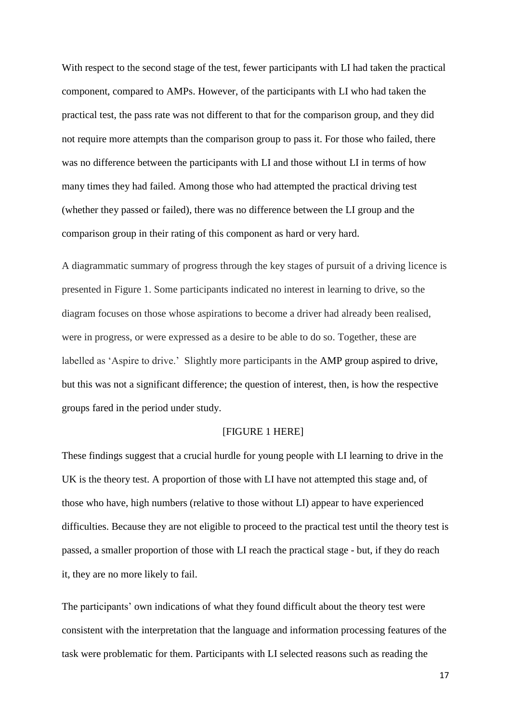With respect to the second stage of the test, fewer participants with LI had taken the practical component, compared to AMPs. However, of the participants with LI who had taken the practical test, the pass rate was not different to that for the comparison group, and they did not require more attempts than the comparison group to pass it. For those who failed, there was no difference between the participants with LI and those without LI in terms of how many times they had failed. Among those who had attempted the practical driving test (whether they passed or failed), there was no difference between the LI group and the comparison group in their rating of this component as hard or very hard.

A diagrammatic summary of progress through the key stages of pursuit of a driving licence is presented in Figure 1. Some participants indicated no interest in learning to drive, so the diagram focuses on those whose aspirations to become a driver had already been realised, were in progress, or were expressed as a desire to be able to do so. Together, these are labelled as 'Aspire to drive.' Slightly more participants in the AMP group aspired to drive, but this was not a significant difference; the question of interest, then, is how the respective groups fared in the period under study.

#### [FIGURE 1 HERE]

These findings suggest that a crucial hurdle for young people with LI learning to drive in the UK is the theory test. A proportion of those with LI have not attempted this stage and, of those who have, high numbers (relative to those without LI) appear to have experienced difficulties. Because they are not eligible to proceed to the practical test until the theory test is passed, a smaller proportion of those with LI reach the practical stage - but, if they do reach it, they are no more likely to fail.

The participants' own indications of what they found difficult about the theory test were consistent with the interpretation that the language and information processing features of the task were problematic for them. Participants with LI selected reasons such as reading the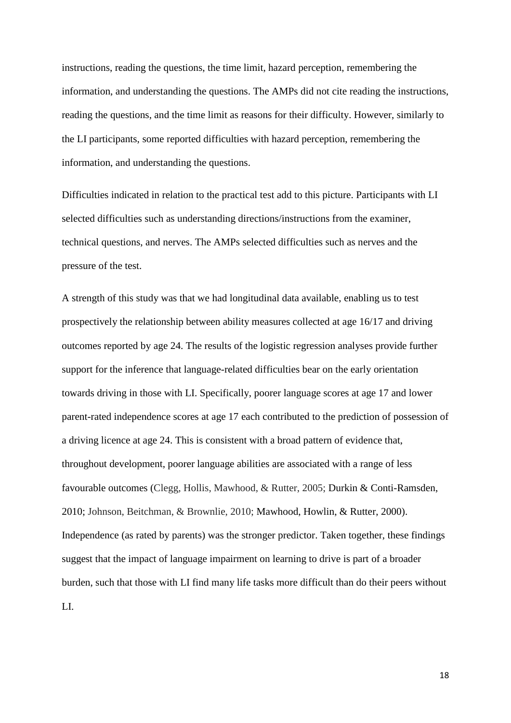instructions, reading the questions, the time limit, hazard perception, remembering the information, and understanding the questions. The AMPs did not cite reading the instructions, reading the questions, and the time limit as reasons for their difficulty. However, similarly to the LI participants, some reported difficulties with hazard perception, remembering the information, and understanding the questions.

Difficulties indicated in relation to the practical test add to this picture. Participants with LI selected difficulties such as understanding directions/instructions from the examiner, technical questions, and nerves. The AMPs selected difficulties such as nerves and the pressure of the test.

A strength of this study was that we had longitudinal data available, enabling us to test prospectively the relationship between ability measures collected at age 16/17 and driving outcomes reported by age 24. The results of the logistic regression analyses provide further support for the inference that language-related difficulties bear on the early orientation towards driving in those with LI. Specifically, poorer language scores at age 17 and lower parent-rated independence scores at age 17 each contributed to the prediction of possession of a driving licence at age 24. This is consistent with a broad pattern of evidence that, throughout development, poorer language abilities are associated with a range of less favourable outcomes (Clegg, Hollis, Mawhood, & Rutter, 2005; Durkin & Conti-Ramsden, 2010; Johnson, Beitchman, & Brownlie, 2010; Mawhood, Howlin, & Rutter, 2000). Independence (as rated by parents) was the stronger predictor. Taken together, these findings suggest that the impact of language impairment on learning to drive is part of a broader burden, such that those with LI find many life tasks more difficult than do their peers without LI.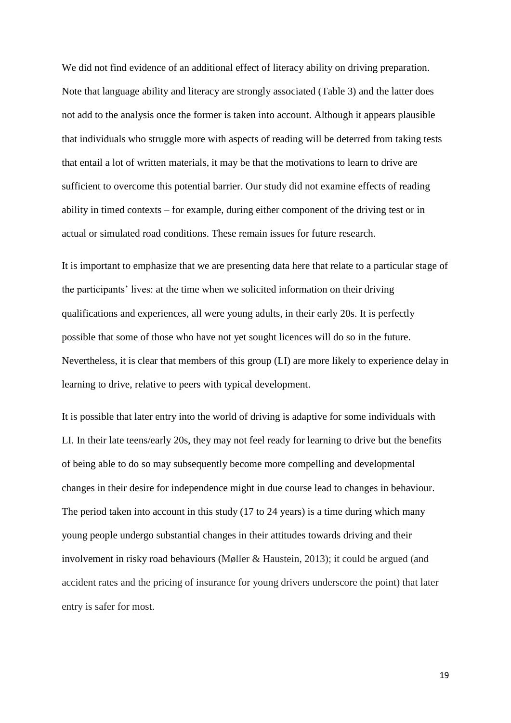We did not find evidence of an additional effect of literacy ability on driving preparation. Note that language ability and literacy are strongly associated (Table 3) and the latter does not add to the analysis once the former is taken into account. Although it appears plausible that individuals who struggle more with aspects of reading will be deterred from taking tests that entail a lot of written materials, it may be that the motivations to learn to drive are sufficient to overcome this potential barrier. Our study did not examine effects of reading ability in timed contexts – for example, during either component of the driving test or in actual or simulated road conditions. These remain issues for future research.

It is important to emphasize that we are presenting data here that relate to a particular stage of the participants' lives: at the time when we solicited information on their driving qualifications and experiences, all were young adults, in their early 20s. It is perfectly possible that some of those who have not yet sought licences will do so in the future. Nevertheless, it is clear that members of this group (LI) are more likely to experience delay in learning to drive, relative to peers with typical development.

It is possible that later entry into the world of driving is adaptive for some individuals with LI. In their late teens/early 20s, they may not feel ready for learning to drive but the benefits of being able to do so may subsequently become more compelling and developmental changes in their desire for independence might in due course lead to changes in behaviour. The period taken into account in this study (17 to 24 years) is a time during which many young people undergo substantial changes in their attitudes towards driving and their involvement in risky road behaviours (Møller & Haustein, 2013); it could be argued (and accident rates and the pricing of insurance for young drivers underscore the point) that later entry is safer for most.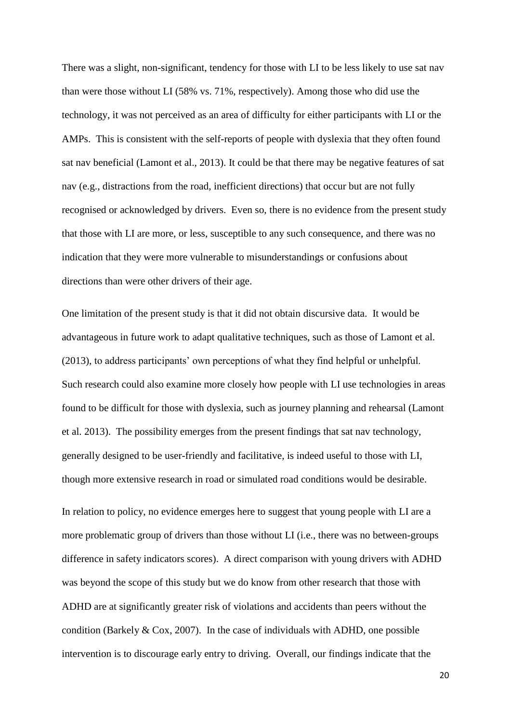There was a slight, non-significant, tendency for those with LI to be less likely to use sat nav than were those without LI (58% vs. 71%, respectively). Among those who did use the technology, it was not perceived as an area of difficulty for either participants with LI or the AMPs. This is consistent with the self-reports of people with dyslexia that they often found sat nav beneficial (Lamont et al., 2013). It could be that there may be negative features of sat nav (e.g., distractions from the road, inefficient directions) that occur but are not fully recognised or acknowledged by drivers. Even so, there is no evidence from the present study that those with LI are more, or less, susceptible to any such consequence, and there was no indication that they were more vulnerable to misunderstandings or confusions about directions than were other drivers of their age.

One limitation of the present study is that it did not obtain discursive data. It would be advantageous in future work to adapt qualitative techniques, such as those of Lamont et al. (2013), to address participants' own perceptions of what they find helpful or unhelpful. Such research could also examine more closely how people with LI use technologies in areas found to be difficult for those with dyslexia, such as journey planning and rehearsal (Lamont et al. 2013). The possibility emerges from the present findings that sat nav technology, generally designed to be user-friendly and facilitative, is indeed useful to those with LI, though more extensive research in road or simulated road conditions would be desirable.

In relation to policy, no evidence emerges here to suggest that young people with LI are a more problematic group of drivers than those without LI (i.e., there was no between-groups difference in safety indicators scores). A direct comparison with young drivers with ADHD was beyond the scope of this study but we do know from other research that those with ADHD are at significantly greater risk of violations and accidents than peers without the condition (Barkely  $& \text{Cox}, 2007$ ). In the case of individuals with ADHD, one possible intervention is to discourage early entry to driving. Overall, our findings indicate that the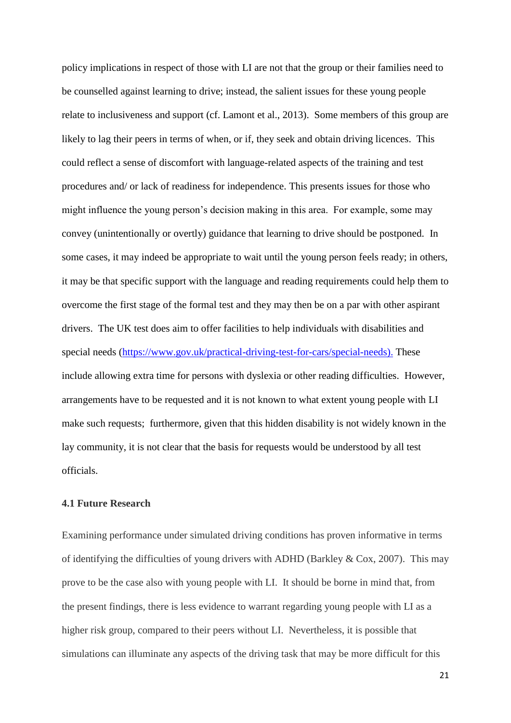policy implications in respect of those with LI are not that the group or their families need to be counselled against learning to drive; instead, the salient issues for these young people relate to inclusiveness and support (cf. Lamont et al., 2013). Some members of this group are likely to lag their peers in terms of when, or if, they seek and obtain driving licences. This could reflect a sense of discomfort with language-related aspects of the training and test procedures and/ or lack of readiness for independence. This presents issues for those who might influence the young person's decision making in this area. For example, some may convey (unintentionally or overtly) guidance that learning to drive should be postponed. In some cases, it may indeed be appropriate to wait until the young person feels ready; in others, it may be that specific support with the language and reading requirements could help them to overcome the first stage of the formal test and they may then be on a par with other aspirant drivers. The UK test does aim to offer facilities to help individuals with disabilities and special needs [\(https://www.gov.uk/practical-driving-test-for-cars/special-needs\).](https://www.gov.uk/practical-driving-test-for-cars/special-needs).) These include allowing extra time for persons with dyslexia or other reading difficulties. However, arrangements have to be requested and it is not known to what extent young people with LI make such requests; furthermore, given that this hidden disability is not widely known in the lay community, it is not clear that the basis for requests would be understood by all test officials.

#### **4.1 Future Research**

Examining performance under simulated driving conditions has proven informative in terms of identifying the difficulties of young drivers with ADHD (Barkley & Cox, 2007). This may prove to be the case also with young people with LI. It should be borne in mind that, from the present findings, there is less evidence to warrant regarding young people with LI as a higher risk group, compared to their peers without LI. Nevertheless, it is possible that simulations can illuminate any aspects of the driving task that may be more difficult for this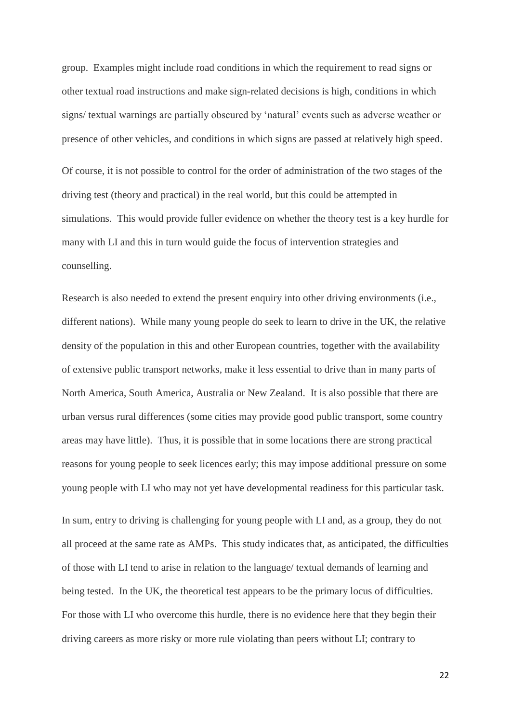group. Examples might include road conditions in which the requirement to read signs or other textual road instructions and make sign-related decisions is high, conditions in which signs/ textual warnings are partially obscured by 'natural' events such as adverse weather or presence of other vehicles, and conditions in which signs are passed at relatively high speed.

Of course, it is not possible to control for the order of administration of the two stages of the driving test (theory and practical) in the real world, but this could be attempted in simulations. This would provide fuller evidence on whether the theory test is a key hurdle for many with LI and this in turn would guide the focus of intervention strategies and counselling.

Research is also needed to extend the present enquiry into other driving environments (i.e., different nations). While many young people do seek to learn to drive in the UK, the relative density of the population in this and other European countries, together with the availability of extensive public transport networks, make it less essential to drive than in many parts of North America, South America, Australia or New Zealand. It is also possible that there are urban versus rural differences (some cities may provide good public transport, some country areas may have little). Thus, it is possible that in some locations there are strong practical reasons for young people to seek licences early; this may impose additional pressure on some young people with LI who may not yet have developmental readiness for this particular task.

In sum, entry to driving is challenging for young people with LI and, as a group, they do not all proceed at the same rate as AMPs. This study indicates that, as anticipated, the difficulties of those with LI tend to arise in relation to the language/ textual demands of learning and being tested. In the UK, the theoretical test appears to be the primary locus of difficulties. For those with LI who overcome this hurdle, there is no evidence here that they begin their driving careers as more risky or more rule violating than peers without LI; contrary to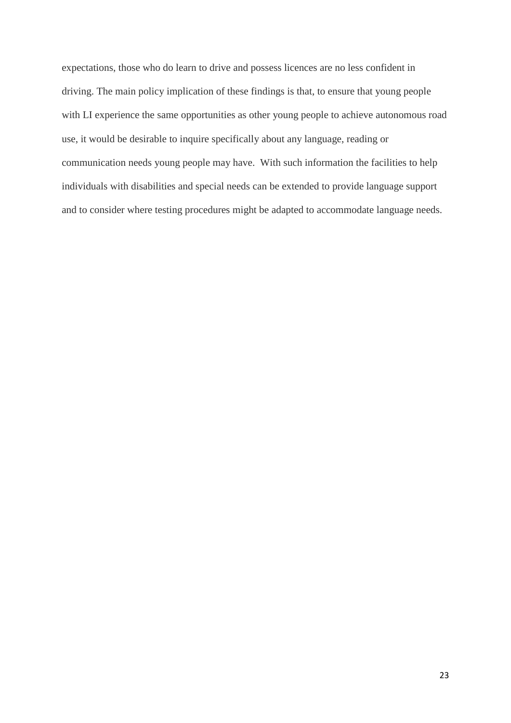expectations, those who do learn to drive and possess licences are no less confident in driving. The main policy implication of these findings is that, to ensure that young people with LI experience the same opportunities as other young people to achieve autonomous road use, it would be desirable to inquire specifically about any language, reading or communication needs young people may have. With such information the facilities to help individuals with disabilities and special needs can be extended to provide language support and to consider where testing procedures might be adapted to accommodate language needs.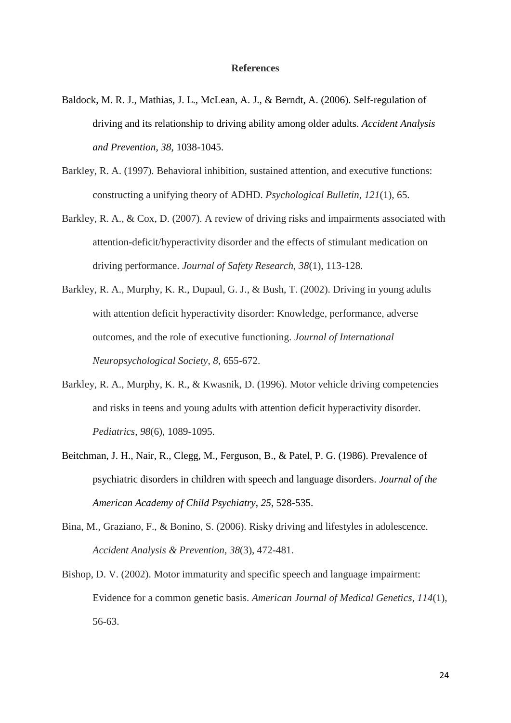#### **References**

- Baldock, M. R. J., Mathias, J. L., McLean, A. J., & Berndt, A. (2006). Self-regulation of driving and its relationship to driving ability among older adults. *Accident Analysis and Prevention*, *38*, 1038-1045.
- Barkley, R. A. (1997). Behavioral inhibition, sustained attention, and executive functions: constructing a unifying theory of ADHD. *Psychological Bulletin*, *121*(1), 65.
- Barkley, R. A., & Cox, D. (2007). A review of driving risks and impairments associated with attention-deficit/hyperactivity disorder and the effects of stimulant medication on driving performance. *Journal of Safety Research*, *38*(1), 113-128.
- Barkley, R. A., Murphy, K. R., Dupaul, G. J., & Bush, T. (2002). Driving in young adults with attention deficit hyperactivity disorder: Knowledge, performance, adverse outcomes, and the role of executive functioning. *Journal of International Neuropsychological Society, 8*, 655-672.
- Barkley, R. A., Murphy, K. R., & Kwasnik, D. (1996). Motor vehicle driving competencies and risks in teens and young adults with attention deficit hyperactivity disorder. *Pediatrics*, *98*(6), 1089-1095.
- Beitchman, J. H., Nair, R., Clegg, M., Ferguson, B., & Patel, P. G. (1986). Prevalence of psychiatric disorders in children with speech and language disorders. *Journal of the American Academy of Child Psychiatry*, *25*, 528-535.
- Bina, M., Graziano, F., & Bonino, S. (2006). Risky driving and lifestyles in adolescence. *Accident Analysis & Prevention*, *38*(3), 472-481.
- Bishop, D. V. (2002). Motor immaturity and specific speech and language impairment: Evidence for a common genetic basis. *American Journal of Medical Genetics*, *114*(1), 56-63.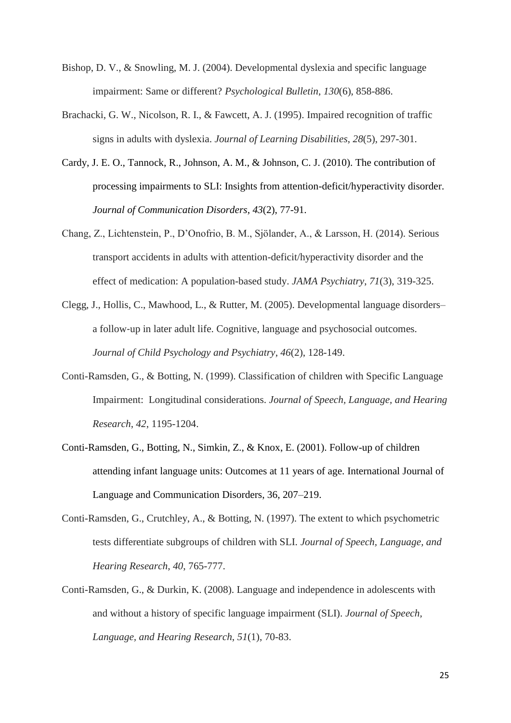- Bishop, D. V., & Snowling, M. J. (2004). Developmental dyslexia and specific language impairment: Same or different? *Psychological Bulletin*, *130*(6), 858-886.
- Brachacki, G. W., Nicolson, R. I., & Fawcett, A. J. (1995). Impaired recognition of traffic signs in adults with dyslexia. *Journal of Learning Disabilities*, *28*(5), 297-301.
- Cardy, J. E. O., Tannock, R., Johnson, A. M., & Johnson, C. J. (2010). The contribution of processing impairments to SLI: Insights from attention-deficit/hyperactivity disorder. *Journal of Communication Disorders*, *43*(2), 77-91.
- Chang, Z., Lichtenstein, P., D'Onofrio, B. M., Sjölander, A., & Larsson, H. (2014). Serious transport accidents in adults with attention-deficit/hyperactivity disorder and the effect of medication: A population-based study. *JAMA Psychiatry*, *71*(3), 319-325.
- Clegg, J., Hollis, C., Mawhood, L., & Rutter, M. (2005). Developmental language disorders– a follow‐up in later adult life. Cognitive, language and psychosocial outcomes. *Journal of Child Psychology and Psychiatry*, *46*(2), 128-149.
- Conti-Ramsden, G., & Botting, N. (1999). Classification of children with Specific Language Impairment: Longitudinal considerations. *Journal of Speech, Language, and Hearing Research*, *42*, 1195-1204.
- Conti-Ramsden, G., Botting, N., Simkin, Z., & Knox, E. (2001). Follow-up of children attending infant language units: Outcomes at 11 years of age. International Journal of Language and Communication Disorders, 36, 207–219.
- Conti-Ramsden, G., Crutchley, A., & Botting, N. (1997). The extent to which psychometric tests differentiate subgroups of children with SLI. *Journal of Speech, Language, and Hearing Research*, *40*, 765-777.
- Conti-Ramsden, G., & Durkin, K. (2008). Language and independence in adolescents with and without a history of specific language impairment (SLI). *Journal of Speech, Language, and Hearing Research*, *51*(1), 70-83.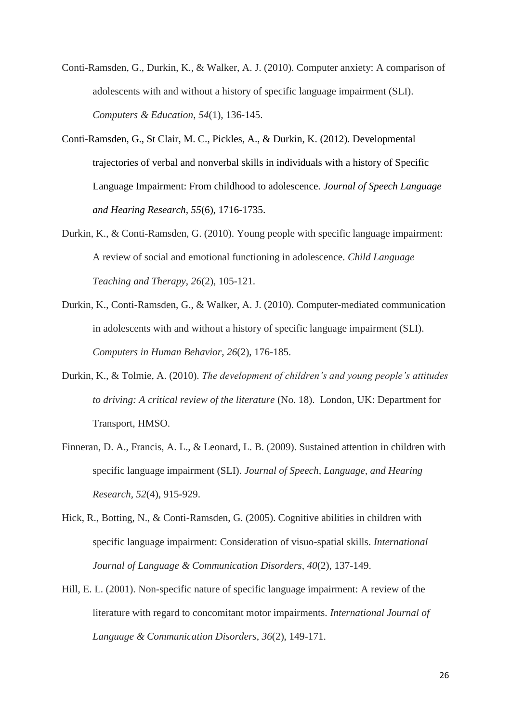- Conti-Ramsden, G., Durkin, K., & Walker, A. J. (2010). Computer anxiety: A comparison of adolescents with and without a history of specific language impairment (SLI). *Computers & Education*, *54*(1), 136-145.
- Conti-Ramsden, G., St Clair, M. C., Pickles, A., & Durkin, K. (2012). Developmental trajectories of verbal and nonverbal skills in individuals with a history of Specific Language Impairment: From childhood to adolescence. *Journal of Speech Language and Hearing Research, 55*(6), 1716-1735.
- Durkin, K., & Conti-Ramsden, G. (2010). Young people with specific language impairment: A review of social and emotional functioning in adolescence. *Child Language Teaching and Therapy*, *26*(2), 105-121.
- Durkin, K., Conti-Ramsden, G., & Walker, A. J. (2010). Computer-mediated communication in adolescents with and without a history of specific language impairment (SLI). *Computers in Human Behavior*, *26*(2), 176-185.
- Durkin, K., & Tolmie, A. (2010). *The development of children's and young people's attitudes to driving: A critical review of the literature* (No. 18). London, UK: Department for Transport, HMSO.
- Finneran, D. A., Francis, A. L., & Leonard, L. B. (2009). Sustained attention in children with specific language impairment (SLI). *Journal of Speech, Language, and Hearing Research*, *52*(4), 915-929.
- Hick, R., Botting, N., & Conti-Ramsden, G. (2005). Cognitive abilities in children with specific language impairment: Consideration of visuo-spatial skills. *International Journal of Language & Communication Disorders*, *40*(2), 137-149.
- Hill, E. L. (2001). Non-specific nature of specific language impairment: A review of the literature with regard to concomitant motor impairments. *International Journal of Language & Communication Disorders*, *36*(2), 149-171.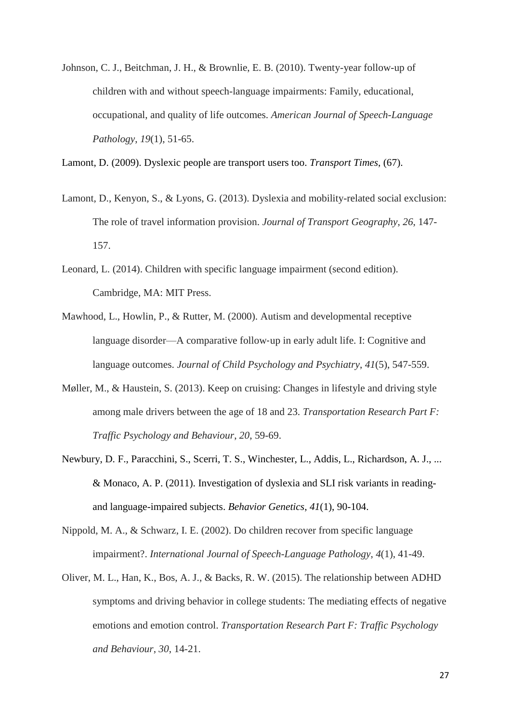Johnson, C. J., Beitchman, J. H., & Brownlie, E. B. (2010). Twenty-year follow-up of children with and without speech-language impairments: Family, educational, occupational, and quality of life outcomes. *American Journal of Speech-Language Pathology*, *19*(1), 51-65.

Lamont, D. (2009). Dyslexic people are transport users too. *Transport Times*, (67).

- Lamont, D., Kenyon, S., & Lyons, G. (2013). Dyslexia and mobility-related social exclusion: The role of travel information provision. *Journal of Transport Geography*, *26*, 147- 157.
- Leonard, L. (2014). Children with specific language impairment (second edition). Cambridge, MA: MIT Press.
- Mawhood, L., Howlin, P., & Rutter, M. (2000). Autism and developmental receptive language disorder—A comparative follow‐up in early adult life. I: Cognitive and language outcomes. *Journal of Child Psychology and Psychiatry*, *41*(5), 547-559.
- Møller, M., & Haustein, S. (2013). Keep on cruising: Changes in lifestyle and driving style among male drivers between the age of 18 and 23. *Transportation Research Part F: Traffic Psychology and Behaviour*, *20*, 59-69.
- Newbury, D. F., Paracchini, S., Scerri, T. S., Winchester, L., Addis, L., Richardson, A. J., ... & Monaco, A. P. (2011). Investigation of dyslexia and SLI risk variants in readingand language-impaired subjects. *Behavior Genetics*, *41*(1), 90-104.
- Nippold, M. A., & Schwarz, I. E. (2002). Do children recover from specific language impairment?. *International Journal of Speech-Language Pathology*, *4*(1), 41-49.
- Oliver, M. L., Han, K., Bos, A. J., & Backs, R. W. (2015). The relationship between ADHD symptoms and driving behavior in college students: The mediating effects of negative emotions and emotion control. *Transportation Research Part F: Traffic Psychology and Behaviour*, *30*, 14-21.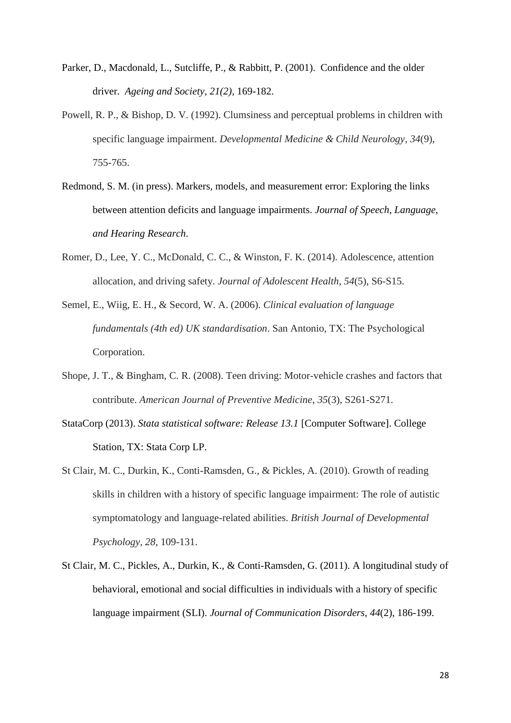- Parker, D., Macdonald, L., Sutcliffe, P., & Rabbitt, P. (2001). Confidence and the older driver. *Ageing and Society, 21(2),* 169-182.
- Powell, R. P., & Bishop, D. V. (1992). Clumsiness and perceptual problems in children with specific language impairment. *Developmental Medicine & Child Neurology*, *34*(9), 755-765.
- Redmond, S. M. (in press). Markers, models, and measurement error: Exploring the links between attention deficits and language impairments. *Journal of Speech, Language, and Hearing Research*.
- Romer, D., Lee, Y. C., McDonald, C. C., & Winston, F. K. (2014). Adolescence, attention allocation, and driving safety. *Journal of Adolescent Health*, *54*(5), S6-S15.
- Semel, E., Wiig, E. H., & Secord, W. A. (2006). *Clinical evaluation of language fundamentals (4th ed) UK standardisation*. San Antonio, TX: The Psychological Corporation.
- Shope, J. T., & Bingham, C. R. (2008). Teen driving: Motor-vehicle crashes and factors that contribute. *American Journal of Preventive Medicine*, *35*(3), S261-S271.
- StataCorp (2013). *Stata statistical software: Release 13.1* [Computer Software]. College Station, TX: Stata Corp LP.
- St Clair, M. C., Durkin, K., Conti-Ramsden, G., & Pickles, A. (2010). Growth of reading skills in children with a history of specific language impairment: The role of autistic symptomatology and language-related abilities. *British Journal of Developmental Psychology*, *28*, 109-131.
- St Clair, M. C., Pickles, A., Durkin, K., & Conti-Ramsden, G. (2011). A longitudinal study of behavioral, emotional and social difficulties in individuals with a history of specific language impairment (SLI). *Journal of Communication Disorders*, *44*(2), 186-199.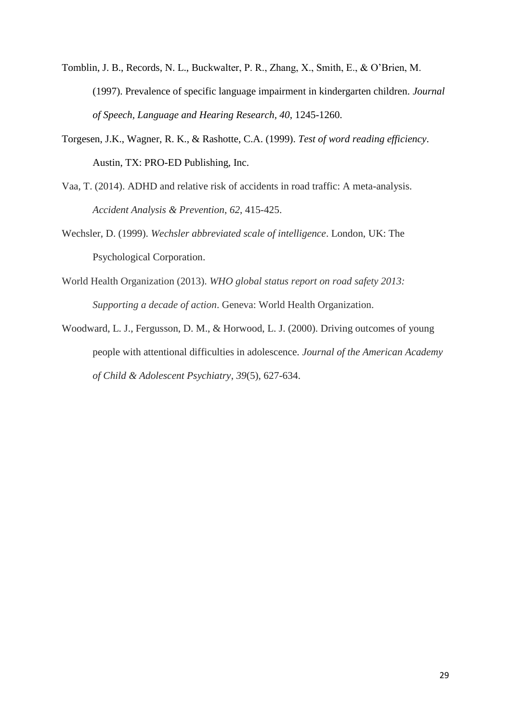- Tomblin, J. B., Records, N. L., Buckwalter, P. R., Zhang, X., Smith, E., & O'Brien, M. (1997). Prevalence of specific language impairment in kindergarten children. *Journal of Speech, Language and Hearing Research, 40*, 1245-1260.
- Torgesen, J.K., Wagner, R. K., & Rashotte, C.A. (1999). *Test of word reading efficiency*. Austin, TX: PRO-ED Publishing, Inc.
- Vaa, T. (2014). ADHD and relative risk of accidents in road traffic: A meta-analysis. *Accident Analysis & Prevention*, *62*, 415-425.
- Wechsler, D. (1999). *Wechsler abbreviated scale of intelligence*. London, UK: The Psychological Corporation.
- World Health Organization (2013). *WHO global status report on road safety 2013: Supporting a decade of action*. Geneva: World Health Organization.
- Woodward, L. J., Fergusson, D. M., & Horwood, L. J. (2000). Driving outcomes of young people with attentional difficulties in adolescence. *Journal of the American Academy of Child & Adolescent Psychiatry*, *39*(5), 627-634.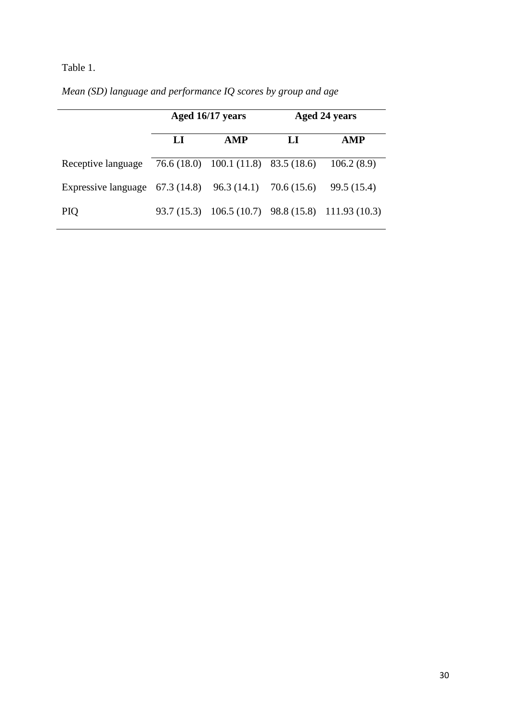## Table 1.

|                                                         |    | Aged 16/17 years                     | Aged 24 years |                                                    |  |  |
|---------------------------------------------------------|----|--------------------------------------|---------------|----------------------------------------------------|--|--|
|                                                         | LI | <b>AMP</b>                           | $\bf{L}$      | AMP                                                |  |  |
| Receptive language                                      |    | 76.6 (18.0) 100.1 (11.8) 83.5 (18.6) |               | 106.2(8.9)                                         |  |  |
| Expressive language 67.3 (14.8) 96.3 (14.1) 70.6 (15.6) |    |                                      |               | 99.5 (15.4)                                        |  |  |
| <b>PIQ</b>                                              |    |                                      |               | 93.7 (15.3) 106.5 (10.7) 98.8 (15.8) 111.93 (10.3) |  |  |

*Mean (SD) language and performance IQ scores by group and age*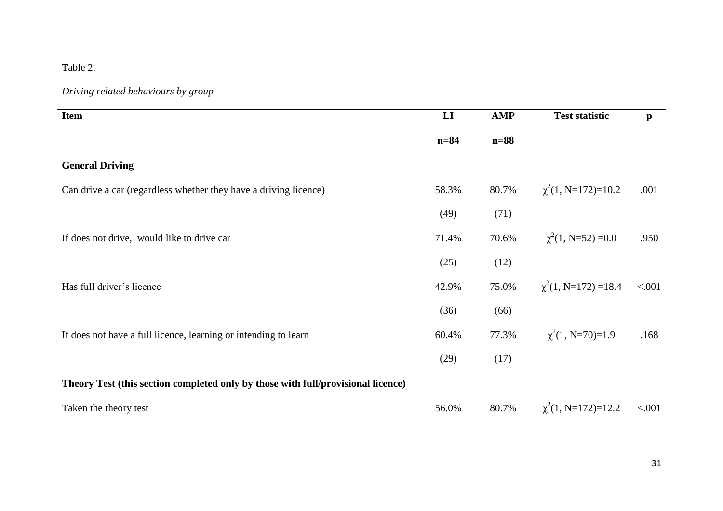# Table 2.

# *Driving related behaviours by group*

| <b>Item</b>                                                                      | LI     | <b>AMP</b> | <b>Test statistic</b>     | $\mathbf{p}$ |
|----------------------------------------------------------------------------------|--------|------------|---------------------------|--------------|
|                                                                                  | $n=84$ | $n=88$     |                           |              |
| <b>General Driving</b>                                                           |        |            |                           |              |
| Can drive a car (regardless whether they have a driving licence)                 | 58.3%  | 80.7%      | $\chi^2(1, N=172)=10.2$   | .001         |
|                                                                                  | (49)   | (71)       |                           |              |
| If does not drive, would like to drive car                                       | 71.4%  | 70.6%      | $\chi^2(1, N=52) = 0.0$   | .950         |
|                                                                                  | (25)   | (12)       |                           |              |
| Has full driver's licence                                                        | 42.9%  | 75.0%      | $\chi^2(1, N=172) = 18.4$ | < .001       |
|                                                                                  | (36)   | (66)       |                           |              |
| If does not have a full licence, learning or intending to learn                  | 60.4%  | 77.3%      | $\chi^2(1, N=70)=1.9$     | .168         |
|                                                                                  | (29)   | (17)       |                           |              |
| Theory Test (this section completed only by those with full/provisional licence) |        |            |                           |              |
| Taken the theory test                                                            | 56.0%  | 80.7%      | $\chi^2(1, N=172)=12.2$   | < .001       |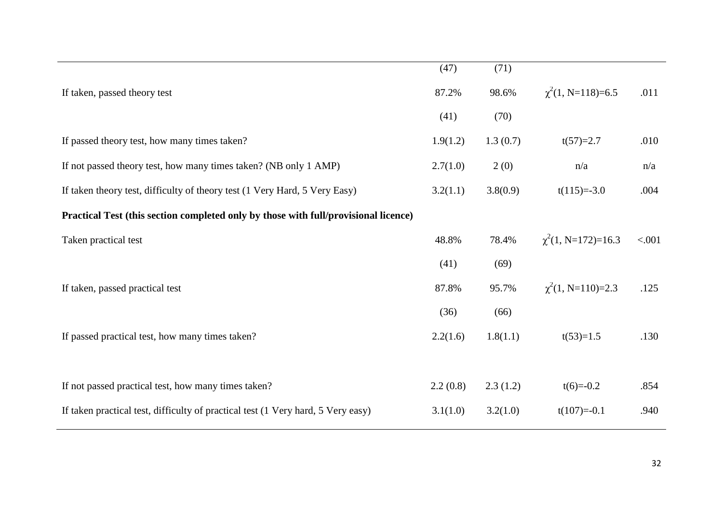|                                                                                     | (47)     | (71)     |                         |        |  |  |
|-------------------------------------------------------------------------------------|----------|----------|-------------------------|--------|--|--|
| If taken, passed theory test                                                        | 87.2%    | 98.6%    | $\chi^2(1, N=118)=6.5$  | .011   |  |  |
|                                                                                     | (41)     | (70)     |                         |        |  |  |
| If passed theory test, how many times taken?                                        | 1.9(1.2) | 1.3(0.7) | $t(57)=2.7$             | .010   |  |  |
| If not passed theory test, how many times taken? (NB only 1 AMP)                    | 2.7(1.0) | 2(0)     | n/a                     | n/a    |  |  |
| If taken theory test, difficulty of theory test (1 Very Hard, 5 Very Easy)          | 3.2(1.1) | 3.8(0.9) | $t(115)=-3.0$           | .004   |  |  |
| Practical Test (this section completed only by those with full/provisional licence) |          |          |                         |        |  |  |
| Taken practical test                                                                | 48.8%    | 78.4%    | $\chi^2(1, N=172)=16.3$ | < .001 |  |  |
|                                                                                     | (41)     | (69)     |                         |        |  |  |
| If taken, passed practical test                                                     | 87.8%    | 95.7%    | $\chi^2(1, N=110)=2.3$  | .125   |  |  |
|                                                                                     | (36)     | (66)     |                         |        |  |  |
| If passed practical test, how many times taken?                                     | 2.2(1.6) | 1.8(1.1) | $t(53)=1.5$             | .130   |  |  |
|                                                                                     |          |          |                         |        |  |  |
| If not passed practical test, how many times taken?                                 | 2.2(0.8) | 2.3(1.2) | $t(6)=0.2$              | .854   |  |  |
| If taken practical test, difficulty of practical test (1 Very hard, 5 Very easy)    | 3.1(1.0) | 3.2(1.0) | $t(107)=0.1$            | .940   |  |  |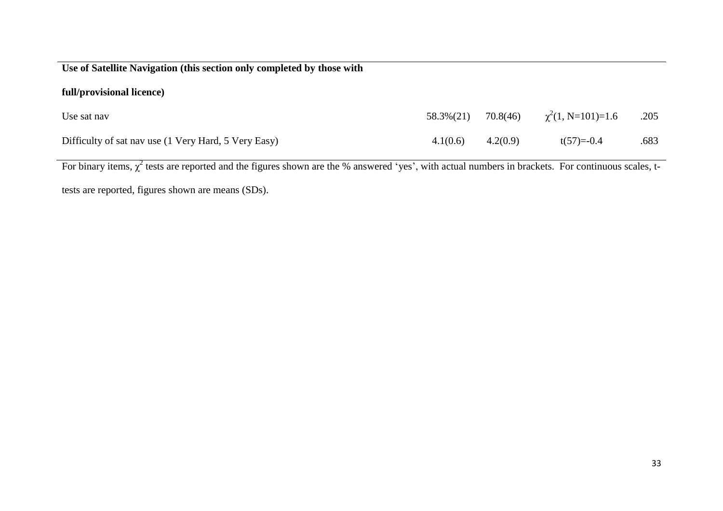## **Use of Satellite Navigation (this section only completed by those with**

### **full/provisional licence)**

| Use sat nav                                          |          |          | 58.3%(21) 70.8(46) $\chi^2(1, N=101)=1.6$ | .205 |
|------------------------------------------------------|----------|----------|-------------------------------------------|------|
| Difficulty of sat nav use (1 Very Hard, 5 Very Easy) | 4.1(0.6) | 4.2(0.9) | $t(57)=0.4$                               | .683 |

For binary items,  $\chi^2$  tests are reported and the figures shown are the % answered 'yes', with actual numbers in brackets. For continuous scales, ttests are reported, figures shown are means (SDs).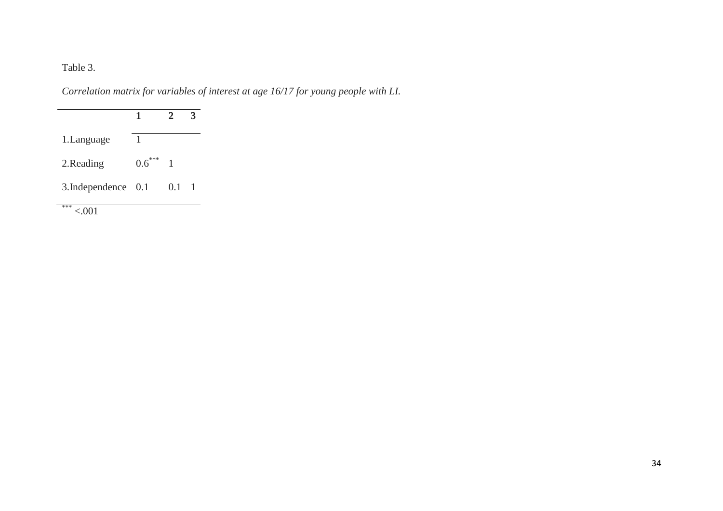Table 3.

*Correlation matrix for variables of interest at age 16/17 for young people with LI.*

**1 2 3** 1. Language  $\overline{1}$ 2.Reading  $0.6^{***}$  1 3.Independence 0.1 0.1 1 \*\*\* <.001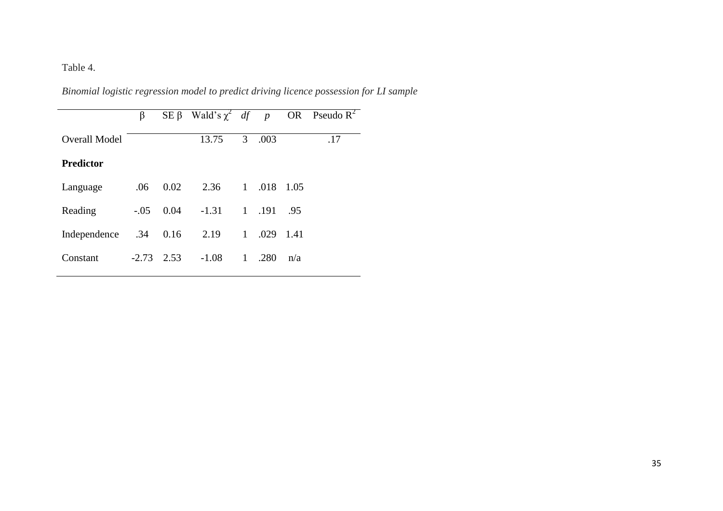Table 4.

*Binomial logistic regression model to predict driving licence possession for LI sample*

|                  | β       |      |         |                |       |      | SE $\beta$ Wald's $\chi^2$ df p OR Pseudo R <sup>2</sup> |
|------------------|---------|------|---------|----------------|-------|------|----------------------------------------------------------|
| Overall Model    |         |      | 13.75   | $\mathfrak{Z}$ | .003  |      | .17                                                      |
| <b>Predictor</b> |         |      |         |                |       |      |                                                          |
| Language         | .06     | 0.02 | 2.36    | $\mathbf{1}$   | .018  | 1.05 |                                                          |
| Reading          | $-.05$  | 0.04 | $-1.31$ |                | 1.191 | .95  |                                                          |
| Independence     | .34     | 0.16 | 2.19    | $\mathbf{1}$   | .029  | 1.41 |                                                          |
| Constant         | $-2.73$ | 2.53 | $-1.08$ | $\mathbf{1}$   | .280  | n/a  |                                                          |